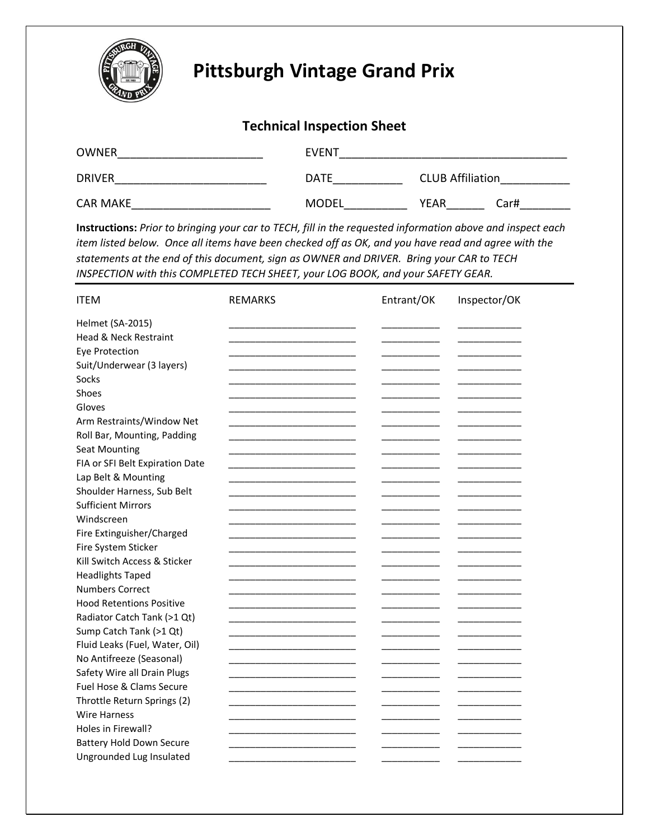

## **Pittsburgh Vintage Grand Prix**

## **Technical Inspection Sheet**

| <b>OWNER</b>    | <b>EVENT</b> |                         |      |
|-----------------|--------------|-------------------------|------|
| <b>DRIVER</b>   | <b>DATE</b>  | <b>CLUB Affiliation</b> |      |
| <b>CAR MAKE</b> | <b>MODEL</b> | <b>YEAR</b>             | Car# |

**Instructions:** *Prior to bringing your car to TECH, fill in the requested information above and inspect each item listed below. Once all items have been checked off as OK, and you have read and agree with the statements at the end of this document, sign as OWNER and DRIVER. Bring your CAR to TECH INSPECTION with this COMPLETED TECH SHEET, your LOG BOOK, and your SAFETY GEAR.* 

| <b>ITEM</b>                     | <b>REMARKS</b> | Entrant/OK | Inspector/OK |
|---------------------------------|----------------|------------|--------------|
| <b>Helmet (SA-2015)</b>         |                |            |              |
| Head & Neck Restraint           |                |            |              |
| <b>Eye Protection</b>           |                |            |              |
| Suit/Underwear (3 layers)       |                |            |              |
| Socks                           |                |            |              |
| Shoes                           |                |            |              |
| Gloves                          |                |            |              |
| Arm Restraints/Window Net       |                |            |              |
| Roll Bar, Mounting, Padding     |                |            |              |
| <b>Seat Mounting</b>            |                |            |              |
| FIA or SFI Belt Expiration Date |                |            |              |
| Lap Belt & Mounting             |                |            |              |
| Shoulder Harness, Sub Belt      |                |            |              |
| <b>Sufficient Mirrors</b>       |                |            |              |
| Windscreen                      |                |            |              |
| Fire Extinguisher/Charged       |                |            |              |
| Fire System Sticker             |                |            |              |
| Kill Switch Access & Sticker    |                |            |              |
| <b>Headlights Taped</b>         |                |            |              |
| <b>Numbers Correct</b>          |                |            |              |
| <b>Hood Retentions Positive</b> |                |            |              |
| Radiator Catch Tank (>1 Qt)     |                |            |              |
| Sump Catch Tank (>1 Qt)         |                |            |              |
| Fluid Leaks (Fuel, Water, Oil)  |                |            |              |
| No Antifreeze (Seasonal)        |                |            |              |
| Safety Wire all Drain Plugs     |                |            |              |
| Fuel Hose & Clams Secure        |                |            |              |
| Throttle Return Springs (2)     |                |            |              |
| <b>Wire Harness</b>             |                |            |              |
| Holes in Firewall?              |                |            |              |
| <b>Battery Hold Down Secure</b> |                |            |              |
| Ungrounded Lug Insulated        |                |            |              |